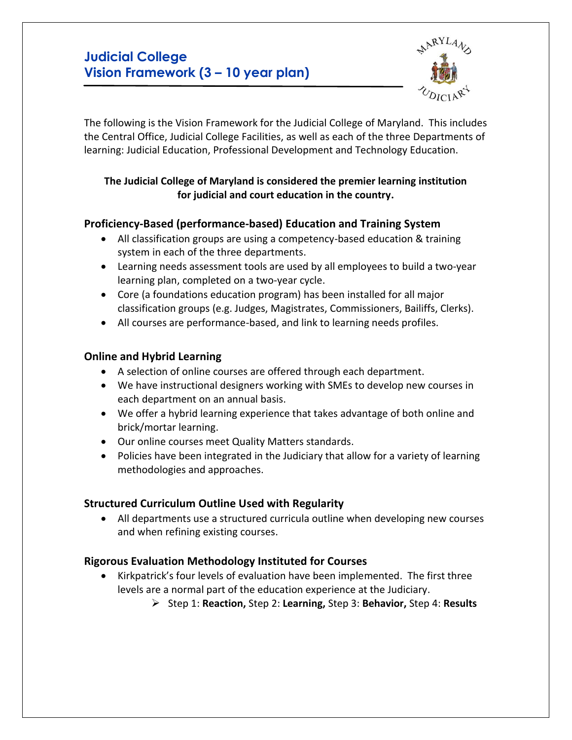# **Judicial College Vision Framework (3 – 10 year plan)**



The following is the Vision Framework for the Judicial College of Maryland. This includes the Central Office, Judicial College Facilities, as well as each of the three Departments of learning: Judicial Education, Professional Development and Technology Education.

#### **The Judicial College of Maryland is considered the premier learning institution for judicial and court education in the country.**

## **Proficiency-Based (performance-based) Education and Training System**

- All classification groups are using a competency-based education & training system in each of the three departments.
- Learning needs assessment tools are used by all employees to build a two-year learning plan, completed on a two-year cycle.
- Core (a foundations education program) has been installed for all major classification groups (e.g. Judges, Magistrates, Commissioners, Bailiffs, Clerks).
- All courses are performance-based, and link to learning needs profiles.

## **Online and Hybrid Learning**

- A selection of online courses are offered through each department.
- We have instructional designers working with SMEs to develop new courses in each department on an annual basis.
- We offer a hybrid learning experience that takes advantage of both online and brick/mortar learning.
- Our online courses meet Quality Matters standards.
- Policies have been integrated in the Judiciary that allow for a variety of learning methodologies and approaches.

## **Structured Curriculum Outline Used with Regularity**

• All departments use a structured curricula outline when developing new courses and when refining existing courses.

# **Rigorous Evaluation Methodology Instituted for Courses**

- Kirkpatrick's four levels of evaluation have been implemented. The first three levels are a normal part of the education experience at the Judiciary.
	- ➢ Step 1: **Reaction,** Step 2: **Learning,** Step 3: **Behavior,** Step 4: **Results**